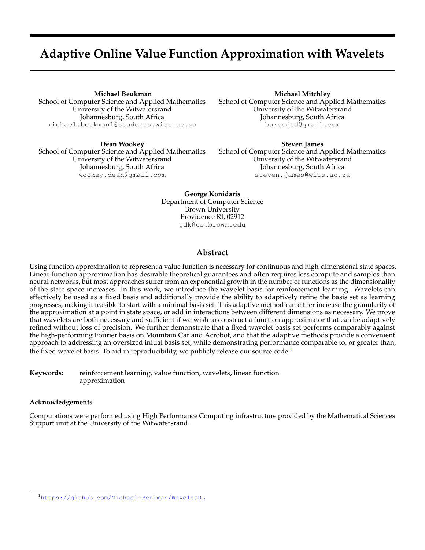# **Adaptive Online Value Function Approximation with Wavelets**

**Michael Beukman**

School of Computer Science and Applied Mathematics University of the Witwatersrand Johannesburg, South Africa michael.beukman1@students.wits.ac.za

**Dean Wookey** School of Computer Science and Applied Mathematics University of the Witwatersrand Johannesburg, South Africa wookey.dean@gmail.com

**Michael Mitchley**

School of Computer Science and Applied Mathematics University of the Witwatersrand Johannesburg, South Africa barcoded@gmail.com

**Steven James** School of Computer Science and Applied Mathematics University of the Witwatersrand Johannesburg, South Africa steven.james@wits.ac.za

**George Konidaris** Department of Computer Science Brown University Providence RI, 02912 gdk@cs.brown.edu

## **Abstract**

Using function approximation to represent a value function is necessary for continuous and high-dimensional state spaces. Linear function approximation has desirable theoretical guarantees and often requires less compute and samples than neural networks, but most approaches suffer from an exponential growth in the number of functions as the dimensionality of the state space increases. In this work, we introduce the wavelet basis for reinforcement learning. Wavelets can effectively be used as a fixed basis and additionally provide the ability to adaptively refine the basis set as learning progresses, making it feasible to start with a minimal basis set. This adaptive method can either increase the granularity of the approximation at a point in state space, or add in interactions between different dimensions as necessary. We prove that wavelets are both necessary and sufficient if we wish to construct a function approximator that can be adaptively refined without loss of precision. We further demonstrate that a fixed wavelet basis set performs comparably against the high-performing Fourier basis on Mountain Car and Acrobot, and that the adaptive methods provide a convenient approach to addressing an oversized initial basis set, while demonstrating performance comparable to, or greater than, the fixed wavelet basis. To aid in reproducibility, we publicly release our source  $code<sup>1</sup>$  $code<sup>1</sup>$  $code<sup>1</sup>$ 

**Keywords:** reinforcement learning, value function, wavelets, linear function approximation

## **Acknowledgements**

Computations were performed using High Performance Computing infrastructure provided by the Mathematical Sciences Support unit at the University of the Witwatersrand.

<span id="page-0-0"></span><sup>1</sup><https://github.com/Michael-Beukman/WaveletRL>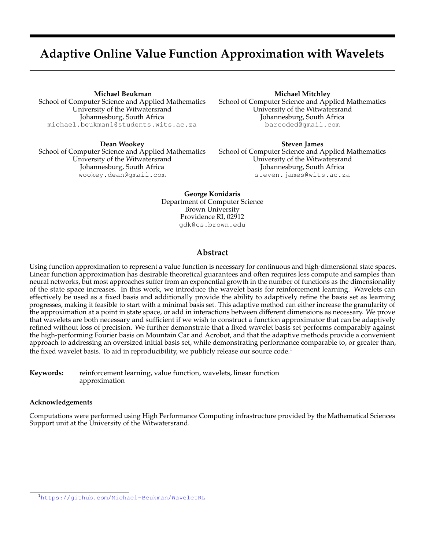# **1 Introduction**

Representing a value function in reinforcement learning (RL) in continuous state spaces requires function approximation. One approach is non-linear function approximation, where a neural network is trained to learn useful features from raw observations. However, this class of methods requires many samples, large amounts of computation [\[1\]](#page-3-0), and does not possess theoretical or convergence guarantees [\[2\]](#page-3-1). Another common scheme is *linear function approximation*, where the value function is approximated by a weighted sum of non-learnable basis functions. This results in simple algorithms and an error surface convex in the weights, but still allows for the representation of complex value functions because the basis functions themselves can be arbitrarily complex. The obvious question is then: which basis functions should one use?

Several fixed basis schemes have been introduced (e.g., [\[3](#page-4-0)[–5\]](#page-4-1)), all with the inherent disadvantage of a combinatorial explosion that makes them unsuited to high-dimensional domains. Consequently, research has focused on either constructing basis functions from data in both discrete and continuous state spaces, or selecting an appropriate set from a fixed dictionary of candidate basis functions with the aim of producing basis function sets that are subexponential in the number of dimensions. A third approach is *adaptive methods* (e.g., [\[6–](#page-4-2)[9\]](#page-4-3)), which are a hybrid of the above. Adaptive methods create new basis functions that complement or replace an existing set of basis functions on which learning is performed. They have the advantage in that they are online, which reduces the sample and computational complexity, and do not require a large dictionary of candidate functions, since they add representation complexity incrementally.

We extend existing adaptive methods to basis functions based on *wavelets*, which are able to approximate functions at various scales and locations, and which can be refined to build a more accurate representation where such detail is necessary. We further prove that wavelets are both necessary and sufficient for function splitting approaches. We present an algorithm for value function approximation that begins with a minimal set of basis functions, and only adds interactions between different dimensions as required. We test our approach on Mountain Car and Acrobot and our results show that a fixed wavelet basis is competitive with the high-performing Fourier basis [\[4\]](#page-4-4). Furthermore, the adaptive techniques perform comparably to the fixed basis, while not starting out with a complete basis set.

## **2 Value Function Approximation**

The reinforcement learning problem in continuous domains is typically modelled as a Markov Decision Process and described by a tuple (S; A; P; R; ), where S  $\;\;\;$  R<sup>d</sup> is a d-dimensional state space, A is a set of actions, P(s<sup>0</sup>js; a) describes the probability of transitioning to state  $s^{\theta}$  after having performed action  $a$  in state  $s$ ,  $R(s; a)$  describes the reward received for executing such a transition, and is the discount factor. The agent is required to learn a policy mapping states to actions that maximises the return (discounted future sum of rewards) at time t:  $G_t = \int_{i=0}^{t} \int_{i}^{t} R(s_{t+i}; a_{t+i})$  [\[2\]](#page-3-1). Given a policy , RL algorithms often estimate a *value function*:  $V$  (s) =  $E$   $\int_{i=0}^{T}$   $\int_{i=0}^{T} R(s_i; a_i) / s_0 = s$ , where action a is selected according to poligy entimear value function approximation represents V as weighted sum of  $n$  basis function  $\cdot$ :  $V(s)$   $W = \bigcap_{i=1}^{\infty} W_i$   $i(s)$ . This approximation is linear in the components of the parameter (or weight) vector, w, which results in simple update rules and a quadratic error surface.

**Basis Functions** In function approximation, a *basis* is a set of orthonormal functions spanning a function space, such that anything within that function space can be exactly reconstructed using a unique weighted sum of the basis functions. Typically, we are interested in<sub>f</sub>orthonormal bases for  $L_2(\mathsf{R})$ , the space of all finite square-integrable functions. In Euclidean spaces,  $f(x) \ge L_2(R)$  implies  $\frac{1}{1}$ ,  $f^2(x)dx$  is finite, a property satisfied by all value functions with finite return. Formally, if a basis is overcomplete (i.e. not all functions are orthogonal), then it is known as a *frame*.

A simple choice of basis function is *tile coding* [\[5\]](#page-4-1), where the state space is discretised into tile basis functions that evaluate to 1 within a fixed region, and 0 elsewhere. Although tile coding forms a basis, it restricts the value function to be piecewise constant. Another approach is the *polynomial basis* [\[10\]](#page-4-5), which sets  $i(S) = \int_{j=1}^{d} S_j^{C_{i,j}}$ , where each  $c_{i,j} \geq [0, \ldots, n]$  and n denotes the order of the basis. While orthonormal polynomials exist, simple ones are not, and may lead to redundancies in their representations. A more common scheme is *radial basis functions* (RBFs) [\[3\]](#page-4-0), where each function is a Gaussian with a given mean and variance. RBFs have local support and are therefore well-suited to representing value functions with local discontinuities. The *Fourier basis* [\[4\]](#page-4-4) uses Fourier series terms as basis functions, setting  $\iota(S) = \cos(C \iota S)$  where for order  $n, c_i = [c_1; \dots; c_d]$  is a vector of coefficients between 0 and n. The Fourier basis requires choosing just a single parameter (the order) and in practice outperforms RBFs and polynomials on some common low-dimensional benchmarks [\[4\]](#page-4-4).

The main shortcoming of these fixed-basis approaches is that the number of basis functions grows exponentially with the dimension of the state space. This has led to feature selection approaches that use a fixed basis as a feature dictionary, but only select a small subset of terms to compactly represent the value function. Ideally, such methods would allow the function approximator to represent extra detail where necessary and handle local discontinuities. However, the above basis function schemes are poorly suited to this: tile coding requires careful discretisation and can only represent piecewise-constant functions, RBFs lack an obvious way of setting their centres and variances, and the Fourier and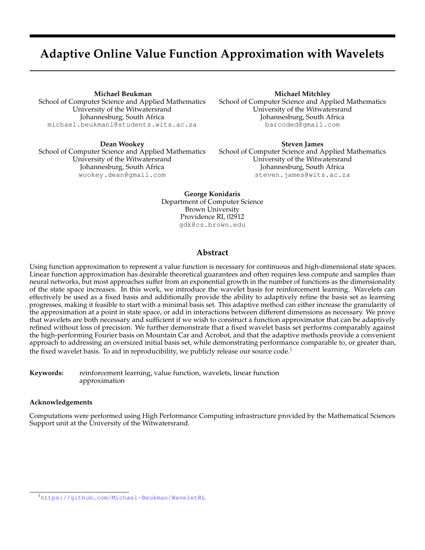<span id="page-2-0"></span>

Figure 1: B-Spline wavelets of different (a) orders, (b) scales and (c) translations. In (d), the original function (purple) can be represented as a weighted sum of its "children" functions. For clarity, these functions are not normalised.

polynomial bases produce functions with global support. We therefore require a new basis scheme suitable for general function approximation that allows us to add spatially local basis functions to incrementally add detail to the value function representation.

#### **3 Wavelets**

Through the use of a *Fourier transform*, we can represent any periodic function as an integral of sines and cosines with varying frequencies. However, since sines and cosines have global support, the Fourier transform becomes cumbersome when representing *transient* or local phenomena [\[11\]](#page-4-6). To deal with this issue, we can instead consider *wavelets*. Wavelets are simply functions : **R** ! **R**, some families of which are compactly supported [\[12\]](#page-4-7) (nonzero in a finite interval) allowing us to model local phenomena. There are many types of wavelets but we focus on B-Spline father wavelets here, the first three orders of which are given by:  $\circ$ 

$$
0(x) = \begin{array}{ccccc} 1 & 0 & x & 1 \\ 0 & \text{otherwise} & 1 \end{array} \qquad \begin{array}{cccc} 1 & 0 & x & 1 \\ 1 & 1 & 1 \end{array} \qquad \begin{array}{cccc} 1 & 0 & x & 1 \\ 0 & 1 & x & 2 \\ 0 & 0 & 0 & 1 \end{array} \qquad \begin{array}{cccc} 0 & 1 & 1 \\ 0 & 0 & 1 \end{array} \qquad \begin{array}{cccc} 0 & 0 & 1 \\ 0 & 0 & 1 \end{array} \qquad \begin{array}{cccc} 0 & 0 & 1 \\ 0 & 0 & 1 \end{array} \qquad \begin{array}{cccc} 0 & 0 & 1 \\ 0 & 0 & 1 \end{array} \qquad \begin{array}{cccc} 0 & 0 & 1 \\ 0 & 0 & 1 \end{array} \qquad \begin{array}{cccc} 0 & 0 & 1 \\ 0 & 0 & 1 \end{array} \qquad \begin{array}{cccc} 0 & 0 & 1 \\ 0 & 0 & 1 \end{array} \qquad \begin{array}{cccc} 0 & 0 & 1 \\ 0 & 0 & 1 \end{array} \qquad \begin{array}{cccc} 0 & 0 & 1 \\ 0 & 0 & 1 \end{array} \qquad \begin{array}{cccc} 0 & 0 & 1 \\ 0 & 0 & 1 \end{array} \qquad \begin{array}{cccc} 0 & 0 & 1 \\ 0 & 0 & 1 \end{array} \qquad \begin{array}{cccc} 0 & 0 & 1 \\ 0 & 0 & 1 \end{array} \qquad \begin{array}{cccc} 0 & 0 & 1 \\ 0 & 0 & 1 \end{array} \qquad \begin{array}{cccc} 0 & 0 & 1 \\ 0 & 0 & 1 \end{array} \qquad \begin{array}{cccc} 0 & 0 & 1 \\ 0 & 0 & 1 \end{array} \qquad \begin{array}{cccc} 0 & 0 & 1 \\ 0 & 0 & 1 \end{array} \qquad \begin{array}{cccc} 0 & 0 & 1 \\ 0 & 0 & 1 \end{array} \qquad \begin{array}{cccc} 0 & 0 & 1 \\ 0 & 0 & 1 \end{array} \qquad \begin{array}{cccc} 0 & 0 & 1 \\ 0 & 0 & 1 \end{array} \qquad \begin{array}{c
$$

In practice, these functions are normalised to satisfy  $\int_1^b (\chi)^2 dx = 1$ . We note that the zero<sup>th</sup> order B-Spline function is also referred to as a Haar wavelet [\[13\]](#page-4-8), and can produce functions equivalent to disjoint tile coding. We can scale (dilate) an arbitrary wavelet of order *n* by multiplying the input *x* 2 R by 2<sup>*j*</sup> to obtain  $\int_{j}^{n} (x) = \int_{l}^{n} (2^{j}x)$ . We can further translate it by  $k \geq 2$  to obtain  $\int_{j:k}^n(x) = \int_{-n}^n(2^jx-k)$ . Some examples are shown in [Figure 1.](#page-2-0) One appealing property of wavelets is that they are *refinable*, meaning that they can be replaced with a weighed sum of smaller copies of themselves at regular intervals. Concretely, as shown in [Figure 1d,](#page-2-0) they satisfy the *refinability equation*:

<span id="page-2-1"></span>
$$
f(x) = \begin{cases} \n\frac{x}{k} & \text{if } k \leq 2 \\ \n\frac{k}{k} & \text{if } k \leq 2 \n\end{cases} \tag{2}
$$

We now prove that wavelets are both necessary and sufficient as a basis that obeys this equation.

**Theorem 1.** If one wishes to split a basis function  $(x)$  2  $L_2(R)$  (that is, the basis function is finite square-integrable) into a finite *number of smaller copies of itself such that the value function remains unchanged, using [Equation 2](#page-2-1) where* m > 1 *and* k 2 **Z***, with a finite number of* w<sup>k</sup> *nonzero, it is necessary and sufficient to use a compactly supported father wavelet as .*

*Proof.* The above conditions define a father wavelet function [\[14\]](#page-4-9). Further, [Equation 2](#page-2-1) is obeyed by all father wavelet functions with refinement mask  $m$  [\[12\]](#page-4-7). If a father wavelet has compact support, it will have a finite dilation series.  $\Box$ 

#### **3.1 Wavelets as a basis for linear function approximation in reinforcement learning**

To construct the wavelet basis for RL, given a state space  $S=[0/1]^d$ , we choose a specific order n and scale j. For each dimension of the state space, we create wavelets with scale *j*, order *n* and translations  $n \le k < 2^j$ . The full basis then consists of all combinations (products) of  $d$  of these functions, such that each term has a unique dimension. This is a fixed basis, providing a drop-in replacement for the methods described above. As an example, with  $d = 2; n = 1; j = 0$ , we have state  $[s_1:s_2]$  and the atomic functions are  $f(s_1 \ 0)$ ;  $(s_1 + 1)$ ;  $(s_2 \ 0)$ ;  $(s_2 + 1)g$ . All pairwise products with distinct dimensions yield =  $[(S_1 \ 0) (S_2 \ 0); (S_1 \ 0) (S_2+1); (S_1+1) (S_2 \ 0); (S_1+1) (S_2+1)].$ 

**Adaptive Methods:** This still has an exponential number of terms, however. To remedy this, we can start with a minimal basis set and add extra resolution *as and when necessary*. This can be done using two atomic operations: *splitting* and